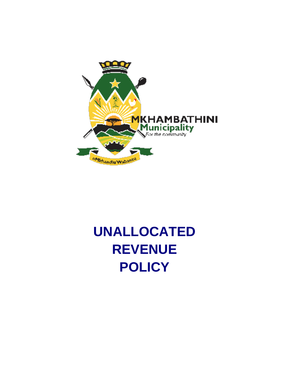

# **UNALLOCATED REVENUE POLICY**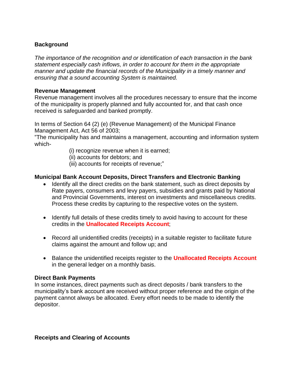## **Background**

*The importance of the recognition and or identification of each transaction in the bank statement especially cash inflows, in order to account for them in the appropriate manner and update the financial records of the Municipality in a timely manner and ensuring that a sound accounting System is maintained.*

### **Revenue Management**

Revenue management involves all the procedures necessary to ensure that the income of the municipality is properly planned and fully accounted for, and that cash once received is safeguarded and banked promptly.

In terms of Section 64 (2) (e) (Revenue Management) of the Municipal Finance Management Act, Act 56 of 2003;

"The municipality has and maintains a management, accounting and information system which-

- (i) recognize revenue when it is earned;
- (ii) accounts for debtors; and
- (iii) accounts for receipts of revenue;"

#### **Municipal Bank Account Deposits, Direct Transfers and Electronic Banking**

- Identify all the direct credits on the bank statement, such as direct deposits by Rate payers, consumers and levy payers, subsidies and grants paid by National and Provincial Governments, interest on investments and miscellaneous credits. Process these credits by capturing to the respective votes on the system.
- Identify full details of these credits timely to avoid having to account for these credits in the **Unallocated Receipts Account**;
- Record all unidentified credits (receipts) in a suitable register to facilitate future claims against the amount and follow up; and
- Balance the unidentified receipts register to the **Unallocated Receipts Account** in the general ledger on a monthly basis.

#### **Direct Bank Payments**

In some instances, direct payments such as direct deposits / bank transfers to the municipality's bank account are received without proper reference and the origin of the payment cannot always be allocated. Every effort needs to be made to identify the depositor.

**Receipts and Clearing of Accounts**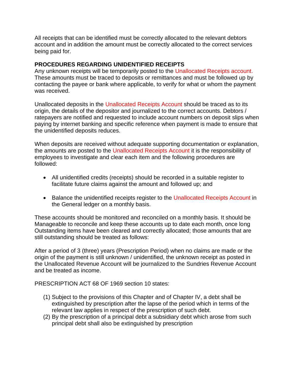All receipts that can be identified must be correctly allocated to the relevant debtors account and in addition the amount must be correctly allocated to the correct services being paid for.

## **PROCEDURES REGARDING UNIDENTIFIED RECEIPTS**

Any unknown receipts will be temporarily posted to the Unallocated Receipts account. These amounts must be traced to deposits or remittances and must be followed up by contacting the payee or bank where applicable, to verify for what or whom the payment was received.

Unallocated deposits in the Unallocated Receipts Account should be traced as to its origin, the details of the depositor and journalized to the correct accounts. Debtors / ratepayers are notified and requested to include account numbers on deposit slips when paying by internet banking and specific reference when payment is made to ensure that the unidentified deposits reduces.

When deposits are received without adequate supporting documentation or explanation, the amounts are posted to the Unallocated Receipts Account it is the responsibility of employees to investigate and clear each item and the following procedures are followed:

- All unidentified credits (receipts) should be recorded in a suitable register to facilitate future claims against the amount and followed up; and
- Balance the unidentified receipts register to the Unallocated Receipts Account in the General ledger on a monthly basis.

These accounts should be monitored and reconciled on a monthly basis. It should be Manageable to reconcile and keep these accounts up to date each month, once long Outstanding items have been cleared and correctly allocated; those amounts that are still outstanding should be treated as follows:

After a period of 3 (three) years (Prescription Period) when no claims are made or the origin of the payment is still unknown / unidentified, the unknown receipt as posted in the Unallocated Revenue Account will be journalized to the Sundries Revenue Account and be treated as income.

PRESCRIPTION ACT 68 OF 1969 section 10 states:

- (1) Subject to the provisions of this Chapter and of Chapter IV, a debt shall be extinguished by prescription after the lapse of the period which in terms of the relevant law applies in respect of the prescription of such debt.
- (2) By the prescription of a principal debt a subsidiary debt which arose from such principal debt shall also be extinguished by prescription